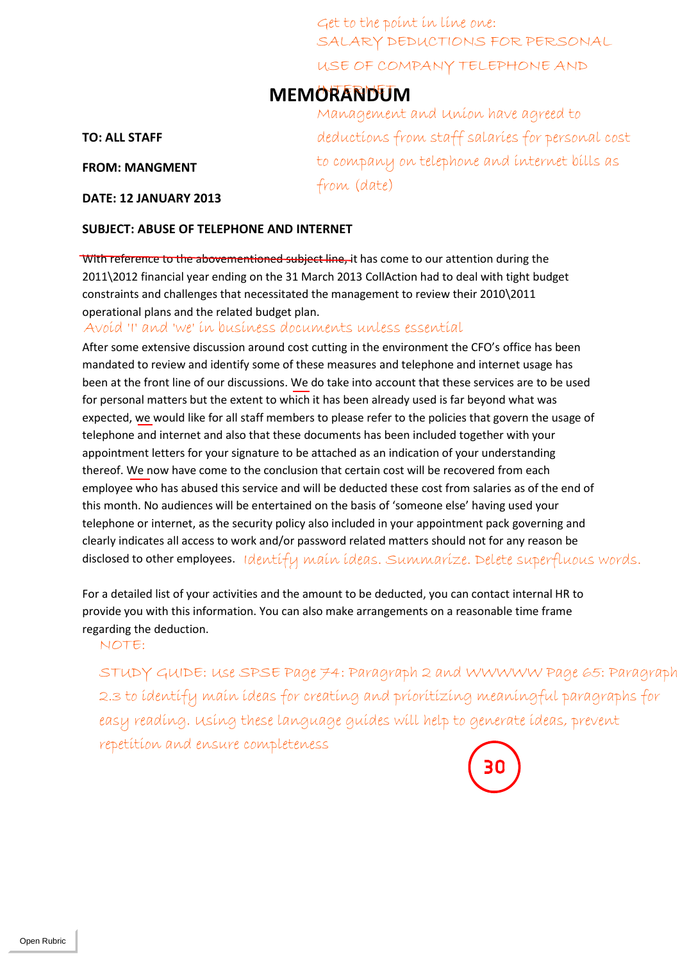SALARY DEDUCTIONS FOR PERSONAL USE OF COMPANY TELEPHONE AND Get to the point in line one:

## **MEMORANDUM**

**TO: ALL STAFF**

**FROM: MANGMENT**

**DATE: 12 JANUARY 2013**

Management and Union have agreed to deductions from staff salaries for personal cost to company on telephone and internet bills as from (date)

#### **SUBJECT: ABUSE OF TELEPHONE AND INTERNET**

With reference to the abovementioned subject line, it has come to our attention during the 2011\2012 financial year ending on the 31 March 2013 CollAction had to deal with tight budget constraints and challenges that necessitated the management to review their 2010\2011 operational plans and the related budget plan.

After some extensive discussion around cost cutting in the environment the CFO's office has been mandated to review and identify some of these measures and telephone and internet usage has been at the front line of our discussions. We do take into account that these services are to be used for personal matters but the extent to which it has been already used is far beyond what was expected, we would like for all staff members to please refer to the policies that govern the usage of telephone and internet and also that these documents has been included together with your appointment letters for your signature to be attached as an indication of your understanding thereof. We now have come to the conclusion that certain cost will be recovered from each employee who has abused this service and will be deducted these cost from salaries as of the end of this month. No audiences will be entertained on the basis of 'someone else' having used your telephone or internet, as the security policy also included in your appointment pack governing and clearly indicates all access to work and/or password related matters should not for any reason be disclosed to other employees. Identify main ideas. Summarize. Delete superfluous words. Avoid 'I' and 'we' in business documents uncless essential<br>
Mer some extensive discussion anomatos couture manded to revironment the GPO's office has been<br>
mandated to review and lightify some of these measures and teleph

For a detailed list of your activities and the amount to be deducted, you can contact internal HR to provide you with this information. You can also make arrangements on a reasonable time frame regarding the deduction.

STUDY GUIDE: Use SPSE Page 74: Paragraph 2 and WWWWW Page 65: Paragraph 2.3 to identify main ideas for creating and prioritizing meaningful paragraphs for easy reading. Using these language guides will help to generate ideas, prevent

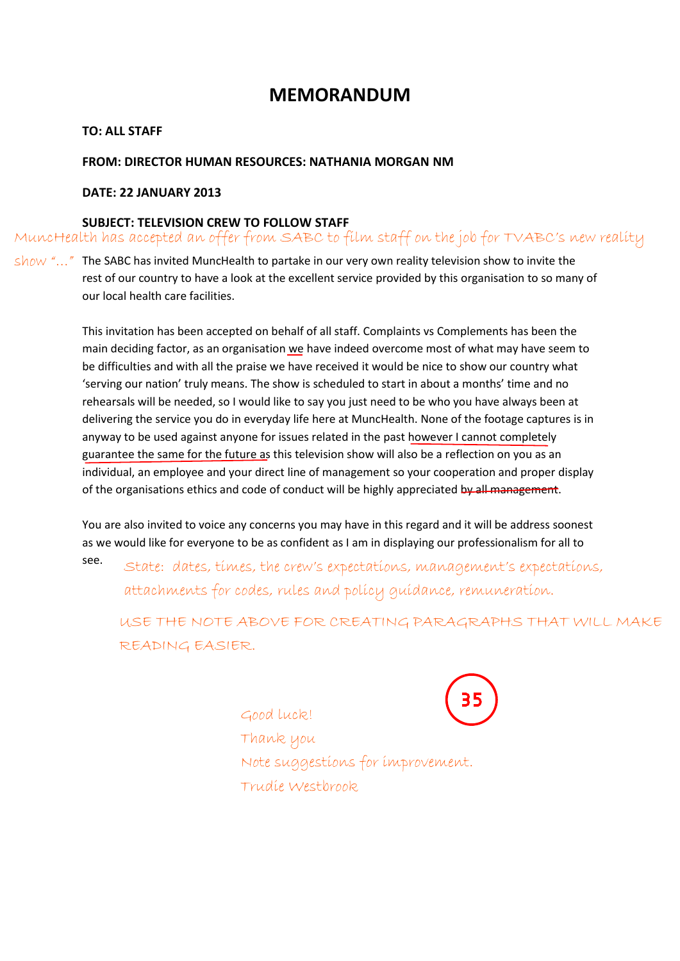### **MEMORANDUM**

#### **TO: ALL STAFF**

#### **FROM: DIRECTOR HUMAN RESOURCES: NATHANIA MORGAN NM**

#### **DATE: 22 JANUARY 2013**

#### **SUBJECT: TELEVISION CREW TO FOLLOW STAFF**

MuncHealth has accepted an offer from SABC to film staff on the job for TVABC's new reality

 $show$  "..." The SABC has invited MuncHealth to partake in our very own reality television show to invite the rest of our country to have a look at the excellent service provided by this organisation to so many of our local health care facilities.

> This invitation has been accepted on behalf of all staff. Complaints vs Complements has been the main deciding factor, as an organisation we have indeed overcome most of what may have seem to be difficulties and with all the praise we have received it would be nice to show our country what 'serving our nation' truly means. The show is scheduled to start in about a months' time and no rehearsals will be needed, so I would like to say you just need to be who you have always been at delivering the service you do in everyday life here at MuncHealth. None of the footage captures is in anyway to be used against anyone for issues related in the past however I cannot completely guarantee the same for the future as this television show will also be a reflection on you as an individual, an employee and your direct line of management so your cooperation and proper display of the organisations ethics and code of conduct will be highly appreciated by all management.

> You are also invited to voice any concerns you may have in this regard and it will be address soonest as we would like for everyone to be as confident as I am in displaying our professionalism for all to

see. State: dates, times, the crew's expectations, management's expectations, attachments for codes, rules and policy guidance, remuneration.

USE THE NOTE ABOVE FOR CREATING PARAGRAPHS THAT WILL MAKE READING EASIER.

> Good luck! Thank you Note suggestions for improvement. Trudie Westbrook